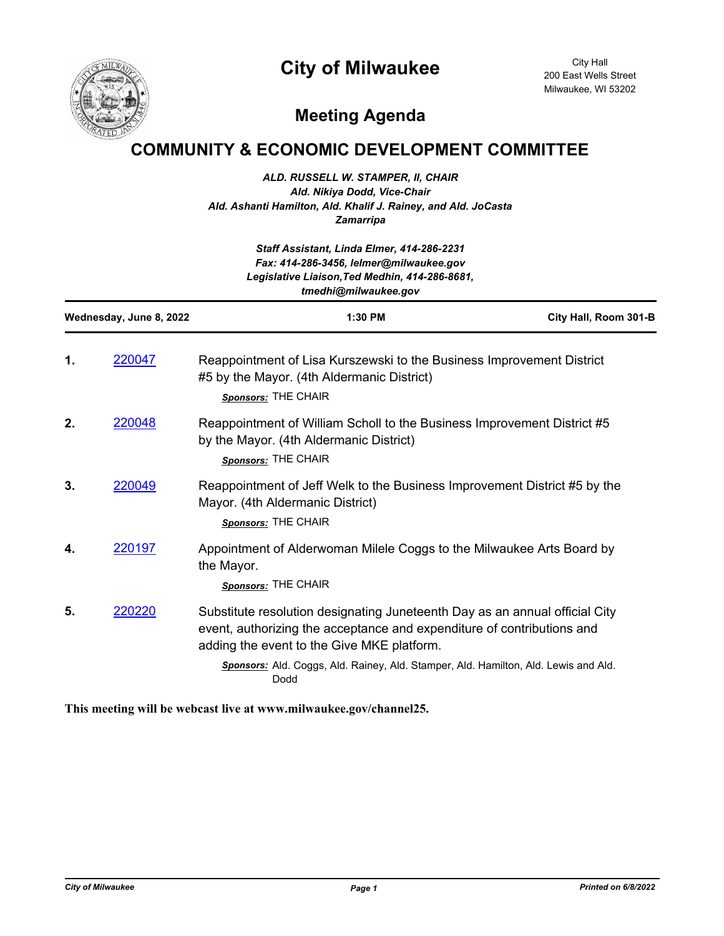## **City of Milwaukee**



City Hall 200 East Wells Street Milwaukee, WI 53202

## **Meeting Agenda**

## **COMMUNITY & ECONOMIC DEVELOPMENT COMMITTEE**

*ALD. RUSSELL W. STAMPER, II, CHAIR Ald. Nikiya Dodd, Vice-Chair Ald. Ashanti Hamilton, Ald. Khalif J. Rainey, and Ald. JoCasta Zamarripa*

| Staff Assistant, Linda Elmer, 414-286-2231<br>Fax: 414-286-3456, lelmer@milwaukee.gov<br>Legislative Liaison, Ted Medhin, 414-286-8681,<br>tmedhi@milwaukee.gov |        |                                                                                                                                                                                                                                                                                                    |                       |
|-----------------------------------------------------------------------------------------------------------------------------------------------------------------|--------|----------------------------------------------------------------------------------------------------------------------------------------------------------------------------------------------------------------------------------------------------------------------------------------------------|-----------------------|
| Wednesday, June 8, 2022                                                                                                                                         |        | 1:30 PM                                                                                                                                                                                                                                                                                            | City Hall, Room 301-B |
| 1.                                                                                                                                                              | 220047 | Reappointment of Lisa Kurszewski to the Business Improvement District<br>#5 by the Mayor. (4th Aldermanic District)<br>Sponsors: THE CHAIR                                                                                                                                                         |                       |
| 2.                                                                                                                                                              | 220048 | Reappointment of William Scholl to the Business Improvement District #5<br>by the Mayor. (4th Aldermanic District)<br>Sponsors: THE CHAIR                                                                                                                                                          |                       |
| 3.                                                                                                                                                              | 220049 | Reappointment of Jeff Welk to the Business Improvement District #5 by the<br>Mayor. (4th Aldermanic District)<br>Sponsors: THE CHAIR                                                                                                                                                               |                       |
| 4.                                                                                                                                                              | 220197 | Appointment of Alderwoman Milele Coggs to the Milwaukee Arts Board by<br>the Mayor.<br>Sponsors: THE CHAIR                                                                                                                                                                                         |                       |
| 5.                                                                                                                                                              | 220220 | Substitute resolution designating Juneteenth Day as an annual official City<br>event, authorizing the acceptance and expenditure of contributions and<br>adding the event to the Give MKE platform.<br>Sponsors: Ald. Coggs, Ald. Rainey, Ald. Stamper, Ald. Hamilton, Ald. Lewis and Ald.<br>Dodd |                       |

**This meeting will be webcast live at www.milwaukee.gov/channel25.**